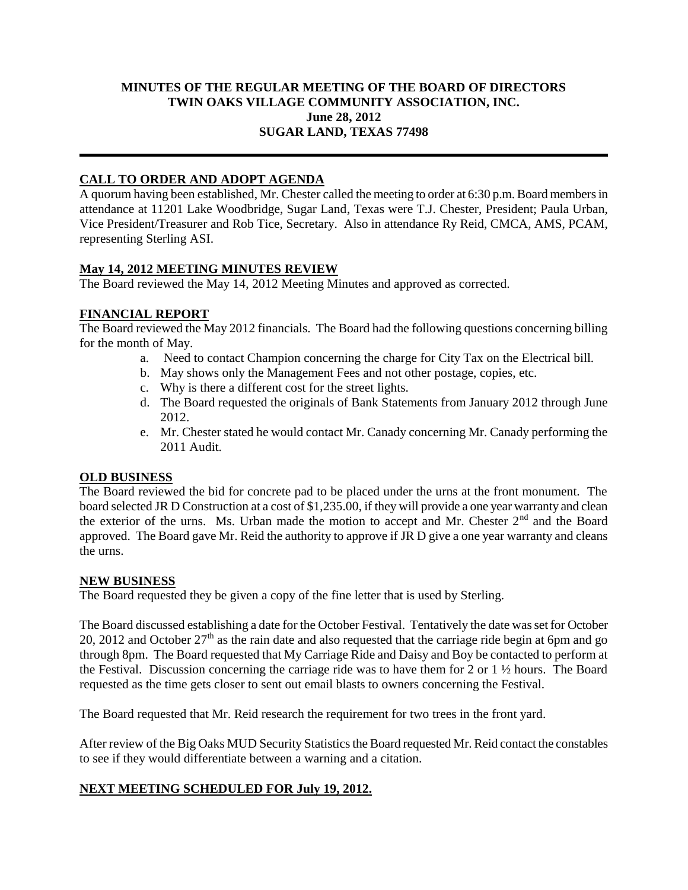#### **MINUTES OF THE REGULAR MEETING OF THE BOARD OF DIRECTORS TWIN OAKS VILLAGE COMMUNITY ASSOCIATION, INC. June 28, 2012 SUGAR LAND, TEXAS 77498**

# **CALL TO ORDER AND ADOPT AGENDA**

A quorum having been established, Mr. Chester called the meeting to order at 6:30 p.m. Board members in attendance at 11201 Lake Woodbridge, Sugar Land, Texas were T.J. Chester, President; Paula Urban, Vice President/Treasurer and Rob Tice, Secretary. Also in attendance Ry Reid, CMCA, AMS, PCAM, representing Sterling ASI.

## **May 14, 2012 MEETING MINUTES REVIEW**

The Board reviewed the May 14, 2012 Meeting Minutes and approved as corrected.

## **FINANCIAL REPORT**

The Board reviewed the May 2012 financials. The Board had the following questions concerning billing for the month of May.

- a. Need to contact Champion concerning the charge for City Tax on the Electrical bill.
- b. May shows only the Management Fees and not other postage, copies, etc.
- c. Why is there a different cost for the street lights.
- d. The Board requested the originals of Bank Statements from January 2012 through June 2012.
- e. Mr. Chester stated he would contact Mr. Canady concerning Mr. Canady performing the 2011 Audit.

## **OLD BUSINESS**

The Board reviewed the bid for concrete pad to be placed under the urns at the front monument. The board selected JR D Construction at a cost of \$1,235.00, if they will provide a one year warranty and clean the exterior of the urns. Ms. Urban made the motion to accept and Mr. Chester 2<sup>nd</sup> and the Board approved. The Board gave Mr. Reid the authority to approve if  $\overline{JR}$  D give a one year warranty and cleans the urns.

## **NEW BUSINESS**

The Board requested they be given a copy of the fine letter that is used by Sterling.

The Board discussed establishing a date for the October Festival. Tentatively the date was set for October 20, 2012 and October  $27<sup>th</sup>$  as the rain date and also requested that the carriage ride begin at 6pm and go through 8pm. The Board requested that My Carriage Ride and Daisy and Boy be contacted to perform at the Festival. Discussion concerning the carriage ride was to have them for 2 or 1 ½ hours. The Board requested as the time gets closer to sent out email blasts to owners concerning the Festival.

The Board requested that Mr. Reid research the requirement for two trees in the front yard.

After review of the Big Oaks MUD Security Statistics the Board requested Mr. Reid contact the constables to see if they would differentiate between a warning and a citation.

## **NEXT MEETING SCHEDULED FOR July 19, 2012.**